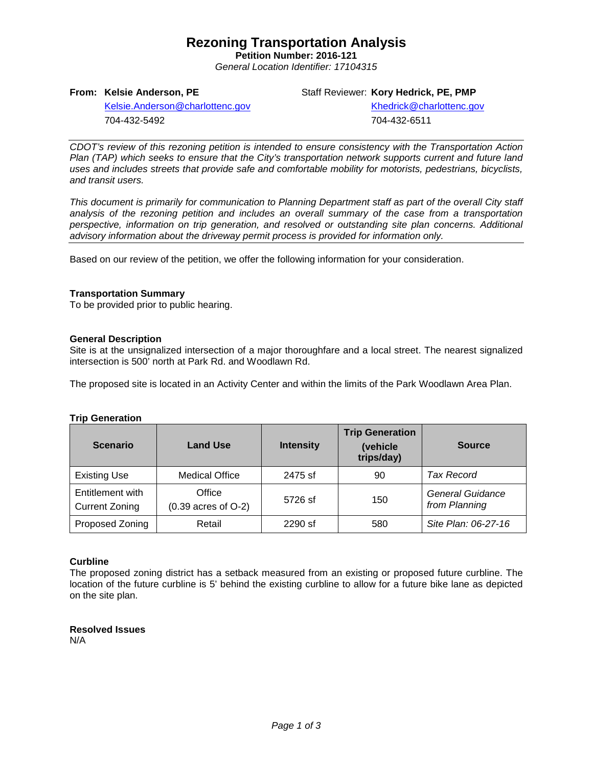## **Rezoning Transportation Analysis**

**Petition Number: 2016-121** *General Location Identifier: 17104315*

**From: Kelsie Anderson, PE**

Staff Reviewer: **Kory Hedrick, PE, PMP**

[Kelsie.Anderson@charlottenc.gov](mailto:Kelsie.Anderson@charlottenc.gov) 704-432-5492

Khedrick@charlottenc.gov 704-432-6511

*CDOT's review of this rezoning petition is intended to ensure consistency with the Transportation Action Plan (TAP) which seeks to ensure that the City's transportation network supports current and future land uses and includes streets that provide safe and comfortable mobility for motorists, pedestrians, bicyclists, and transit users.*

*This document is primarily for communication to Planning Department staff as part of the overall City staff analysis of the rezoning petition and includes an overall summary of the case from a transportation perspective, information on trip generation, and resolved or outstanding site plan concerns. Additional advisory information about the driveway permit process is provided for information only.*

Based on our review of the petition, we offer the following information for your consideration.

#### **Transportation Summary**

To be provided prior to public hearing.

#### **General Description**

Site is at the unsignalized intersection of a major thoroughfare and a local street. The nearest signalized intersection is 500' north at Park Rd. and Woodlawn Rd.

The proposed site is located in an Activity Center and within the limits of the Park Woodlawn Area Plan.

#### **Trip Generation**

| <b>Scenario</b>                           | <b>Land Use</b>                   | <b>Intensity</b> | <b>Trip Generation</b><br>(vehicle<br>trips/day) | <b>Source</b>                     |
|-------------------------------------------|-----------------------------------|------------------|--------------------------------------------------|-----------------------------------|
| <b>Existing Use</b>                       | <b>Medical Office</b>             | 2475 sf          | 90                                               | <b>Tax Record</b>                 |
| Entitlement with<br><b>Current Zoning</b> | Office<br>$(0.39$ acres of $O-2)$ | 5726 sf          | 150                                              | General Guidance<br>from Planning |
| Proposed Zoning                           | Retail                            | 2290 sf          | 580                                              | Site Plan: 06-27-16               |

#### **Curbline**

The proposed zoning district has a setback measured from an existing or proposed future curbline. The location of the future curbline is 5' behind the existing curbline to allow for a future bike lane as depicted on the site plan.

**Resolved Issues** N/A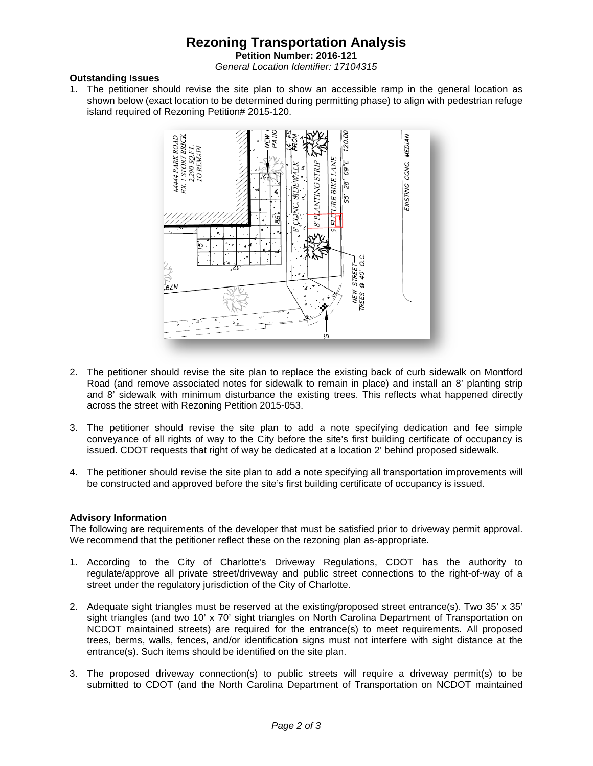# **Rezoning Transportation Analysis**

**Petition Number: 2016-121**

*General Location Identifier: 17104315*

#### **Outstanding Issues**

1. The petitioner should revise the site plan to show an accessible ramp in the general location as shown below (exact location to be determined during permitting phase) to align with pedestrian refuge island required of Rezoning Petition# 2015-120.



- 2. The petitioner should revise the site plan to replace the existing back of curb sidewalk on Montford Road (and remove associated notes for sidewalk to remain in place) and install an 8' planting strip and 8' sidewalk with minimum disturbance the existing trees. This reflects what happened directly across the street with Rezoning Petition 2015-053.
- 3. The petitioner should revise the site plan to add a note specifying dedication and fee simple conveyance of all rights of way to the City before the site's first building certificate of occupancy is issued. CDOT requests that right of way be dedicated at a location 2' behind proposed sidewalk.
- 4. The petitioner should revise the site plan to add a note specifying all transportation improvements will be constructed and approved before the site's first building certificate of occupancy is issued.

#### **Advisory Information**

The following are requirements of the developer that must be satisfied prior to driveway permit approval. We recommend that the petitioner reflect these on the rezoning plan as-appropriate.

- 1. According to the City of Charlotte's Driveway Regulations, CDOT has the authority to regulate/approve all private street/driveway and public street connections to the right-of-way of a street under the regulatory jurisdiction of the City of Charlotte.
- 2. Adequate sight triangles must be reserved at the existing/proposed street entrance(s). Two 35' x 35' sight triangles (and two 10' x 70' sight triangles on North Carolina Department of Transportation on NCDOT maintained streets) are required for the entrance(s) to meet requirements. All proposed trees, berms, walls, fences, and/or identification signs must not interfere with sight distance at the entrance(s). Such items should be identified on the site plan.
- 3. The proposed driveway connection(s) to public streets will require a driveway permit(s) to be submitted to CDOT (and the North Carolina Department of Transportation on NCDOT maintained